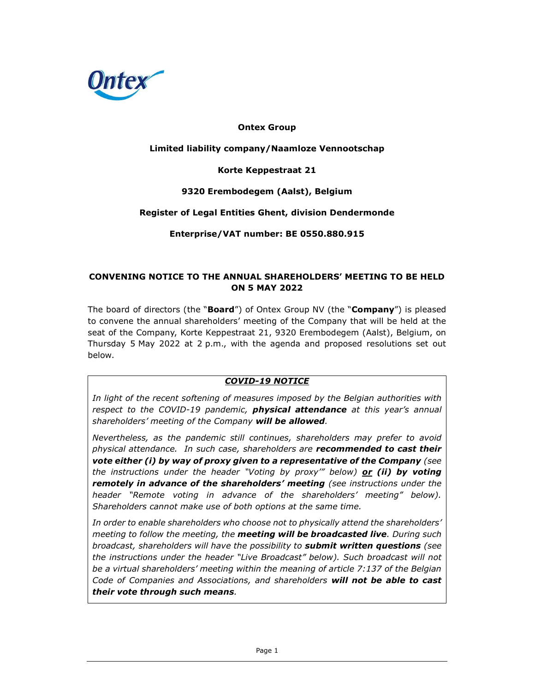

### Ontex Group

### Limited liability company/Naamloze Vennootschap

#### Korte Keppestraat 21

#### 9320 Erembodegem (Aalst), Belgium

#### Register of Legal Entities Ghent, division Dendermonde

Enterprise/VAT number: BE 0550.880.915

#### CONVENING NOTICE TO THE ANNUAL SHAREHOLDERS' MEETING TO BE HELD ON 5 MAY 2022

The board of directors (the "**Board**") of Ontex Group NV (the "Company") is pleased to convene the annual shareholders' meeting of the Company that will be held at the seat of the Company, Korte Keppestraat 21, 9320 Erembodegem (Aalst), Belgium, on Thursday 5 May 2022 at 2 p.m., with the agenda and proposed resolutions set out below.

### COVID-19 NOTICE

In light of the recent softening of measures imposed by the Belgian authorities with respect to the COVID-19 pandemic, **physical attendance** at this year's annual shareholders' meeting of the Company will be allowed.

Nevertheless, as the pandemic still continues, shareholders may prefer to avoid physical attendance. In such case, shareholders are **recommended to cast their** vote either (i) by way of proxy given to a representative of the Company (see the instructions under the header "Voting by proxy" below) **or (ii) by voting** remotely in advance of the shareholders' meeting (see instructions under the header "Remote voting in advance of the shareholders' meeting" below). Shareholders cannot make use of both options at the same time.

In order to enable shareholders who choose not to physically attend the shareholders' meeting to follow the meeting, the **meeting will be broadcasted live**. During such broadcast, shareholders will have the possibility to **submit written questions** (see the instructions under the header "Live Broadcast" below). Such broadcast will not be a virtual shareholders' meeting within the meaning of article 7:137 of the Belgian Code of Companies and Associations, and shareholders will not be able to cast their vote through such means.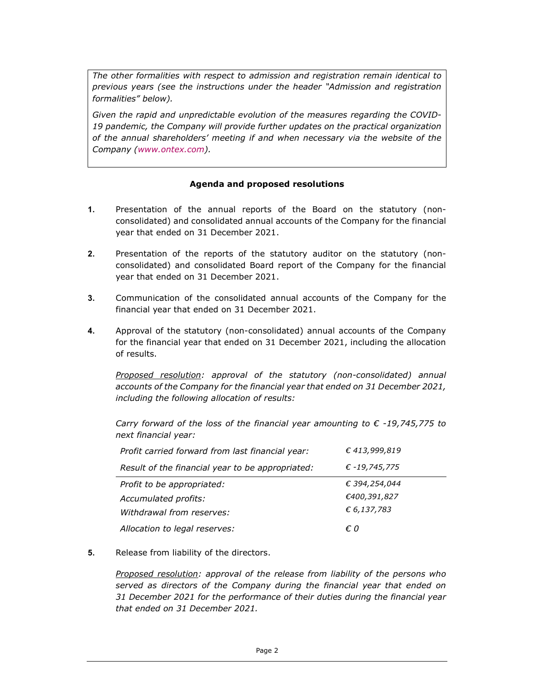The other formalities with respect to admission and registration remain identical to previous years (see the instructions under the header "Admission and registration formalities" below).

Given the rapid and unpredictable evolution of the measures regarding the COVID-19 pandemic, the Company will provide further updates on the practical organization of the annual shareholders' meeting if and when necessary via the website of the Company (www.ontex.com).

### Agenda and proposed resolutions

- 1. Presentation of the annual reports of the Board on the statutory (nonconsolidated) and consolidated annual accounts of the Company for the financial year that ended on 31 December 2021.
- 2. Presentation of the reports of the statutory auditor on the statutory (nonconsolidated) and consolidated Board report of the Company for the financial year that ended on 31 December 2021.
- 3. Communication of the consolidated annual accounts of the Company for the financial year that ended on 31 December 2021.
- 4. Approval of the statutory (non-consolidated) annual accounts of the Company for the financial year that ended on 31 December 2021, including the allocation of results.

Proposed resolution: approval of the statutory (non-consolidated) annual accounts of the Company for the financial year that ended on 31 December 2021, including the following allocation of results:

Carry forward of the loss of the financial year amounting to  $\epsilon$  -19,745,775 to next financial year:

| Profit carried forward from last financial year: | € 413,999,819 |
|--------------------------------------------------|---------------|
| Result of the financial year to be appropriated: | € -19,745,775 |
| Profit to be appropriated:                       | € 394,254,044 |
| Accumulated profits:                             | €400,391,827  |
| Withdrawal from reserves:                        | € 6,137,783   |
| Allocation to legal reserves:                    | €O            |

5. Release from liability of the directors.

Proposed resolution: approval of the release from liability of the persons who served as directors of the Company during the financial year that ended on 31 December 2021 for the performance of their duties during the financial year that ended on 31 December 2021.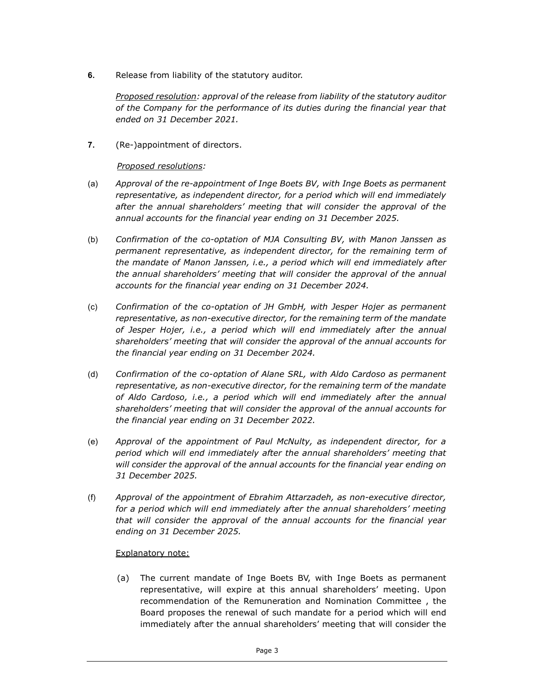6. Release from liability of the statutory auditor.

Proposed resolution: approval of the release from liability of the statutory auditor of the Company for the performance of its duties during the financial year that ended on 31 December 2021.

7. (Re-)appointment of directors.

### Proposed resolutions:

- (a) Approval of the re-appointment of Inge Boets BV, with Inge Boets as permanent representative, as independent director, for a period which will end immediately after the annual shareholders' meeting that will consider the approval of the annual accounts for the financial year ending on 31 December 2025.
- (b) Confirmation of the co-optation of MJA Consulting BV, with Manon Janssen as permanent representative, as independent director, for the remaining term of the mandate of Manon Janssen, i.e., a period which will end immediately after the annual shareholders' meeting that will consider the approval of the annual accounts for the financial year ending on 31 December 2024.
- (c) Confirmation of the co-optation of JH GmbH, with Jesper Hojer as permanent representative, as non-executive director, for the remaining term of the mandate of Jesper Hojer, i.e., a period which will end immediately after the annual shareholders' meeting that will consider the approval of the annual accounts for the financial year ending on 31 December 2024.
- (d) Confirmation of the co-optation of Alane SRL, with Aldo Cardoso as permanent representative, as non-executive director, for the remaining term of the mandate of Aldo Cardoso, i.e., a period which will end immediately after the annual shareholders' meeting that will consider the approval of the annual accounts for the financial year ending on 31 December 2022.
- (e) Approval of the appointment of Paul McNulty, as independent director, for a period which will end immediately after the annual shareholders' meeting that will consider the approval of the annual accounts for the financial year ending on 31 December 2025.
- (f) Approval of the appointment of Ebrahim Attarzadeh, as non-executive director, for a period which will end immediately after the annual shareholders' meeting that will consider the approval of the annual accounts for the financial year ending on 31 December 2025.

### Explanatory note:

(a) The current mandate of Inge Boets BV, with Inge Boets as permanent representative, will expire at this annual shareholders' meeting. Upon recommendation of the Remuneration and Nomination Committee , the Board proposes the renewal of such mandate for a period which will end immediately after the annual shareholders' meeting that will consider the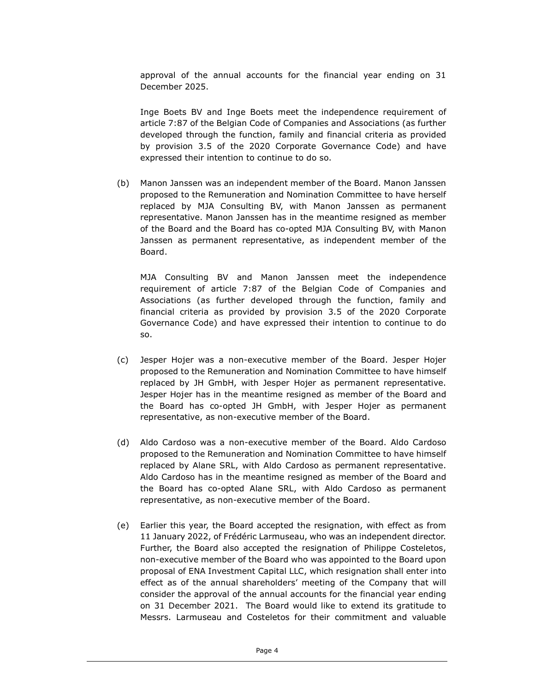approval of the annual accounts for the financial year ending on 31 December 2025.

Inge Boets BV and Inge Boets meet the independence requirement of article 7:87 of the Belgian Code of Companies and Associations (as further developed through the function, family and financial criteria as provided by provision 3.5 of the 2020 Corporate Governance Code) and have expressed their intention to continue to do so.

(b) Manon Janssen was an independent member of the Board. Manon Janssen proposed to the Remuneration and Nomination Committee to have herself replaced by MJA Consulting BV, with Manon Janssen as permanent representative. Manon Janssen has in the meantime resigned as member of the Board and the Board has co-opted MJA Consulting BV, with Manon Janssen as permanent representative, as independent member of the Board.

MJA Consulting BV and Manon Janssen meet the independence requirement of article 7:87 of the Belgian Code of Companies and Associations (as further developed through the function, family and financial criteria as provided by provision 3.5 of the 2020 Corporate Governance Code) and have expressed their intention to continue to do so.

- (c) Jesper Hojer was a non-executive member of the Board. Jesper Hojer proposed to the Remuneration and Nomination Committee to have himself replaced by JH GmbH, with Jesper Hojer as permanent representative. Jesper Hojer has in the meantime resigned as member of the Board and the Board has co-opted JH GmbH, with Jesper Hojer as permanent representative, as non-executive member of the Board.
- (d) Aldo Cardoso was a non-executive member of the Board. Aldo Cardoso proposed to the Remuneration and Nomination Committee to have himself replaced by Alane SRL, with Aldo Cardoso as permanent representative. Aldo Cardoso has in the meantime resigned as member of the Board and the Board has co-opted Alane SRL, with Aldo Cardoso as permanent representative, as non-executive member of the Board.
- (e) Earlier this year, the Board accepted the resignation, with effect as from 11 January 2022, of Frédéric Larmuseau, who was an independent director. Further, the Board also accepted the resignation of Philippe Costeletos, non-executive member of the Board who was appointed to the Board upon proposal of ENA Investment Capital LLC, which resignation shall enter into effect as of the annual shareholders' meeting of the Company that will consider the approval of the annual accounts for the financial year ending on 31 December 2021. The Board would like to extend its gratitude to Messrs. Larmuseau and Costeletos for their commitment and valuable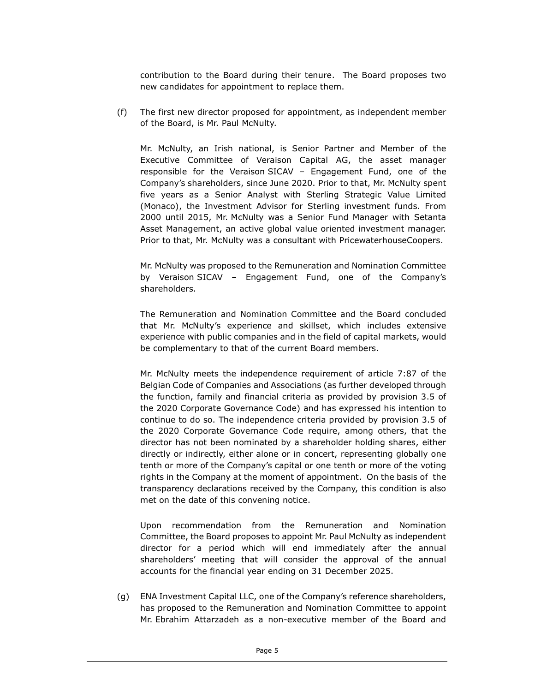contribution to the Board during their tenure. The Board proposes two new candidates for appointment to replace them.

(f) The first new director proposed for appointment, as independent member of the Board, is Mr. Paul McNulty.

Mr. McNulty, an Irish national, is Senior Partner and Member of the Executive Committee of Veraison Capital AG, the asset manager responsible for the Veraison SICAV – Engagement Fund, one of the Company's shareholders, since June 2020. Prior to that, Mr. McNulty spent five years as a Senior Analyst with Sterling Strategic Value Limited (Monaco), the Investment Advisor for Sterling investment funds. From 2000 until 2015, Mr. McNulty was a Senior Fund Manager with Setanta Asset Management, an active global value oriented investment manager. Prior to that, Mr. McNulty was a consultant with PricewaterhouseCoopers.

Mr. McNulty was proposed to the Remuneration and Nomination Committee by Veraison SICAV – Engagement Fund, one of the Company's shareholders.

The Remuneration and Nomination Committee and the Board concluded that Mr. McNulty's experience and skillset, which includes extensive experience with public companies and in the field of capital markets, would be complementary to that of the current Board members.

Mr. McNulty meets the independence requirement of article 7:87 of the Belgian Code of Companies and Associations (as further developed through the function, family and financial criteria as provided by provision 3.5 of the 2020 Corporate Governance Code) and has expressed his intention to continue to do so. The independence criteria provided by provision 3.5 of the 2020 Corporate Governance Code require, among others, that the director has not been nominated by a shareholder holding shares, either directly or indirectly, either alone or in concert, representing globally one tenth or more of the Company's capital or one tenth or more of the voting rights in the Company at the moment of appointment. On the basis of the transparency declarations received by the Company, this condition is also met on the date of this convening notice.

Upon recommendation from the Remuneration and Nomination Committee, the Board proposes to appoint Mr. Paul McNulty as independent director for a period which will end immediately after the annual shareholders' meeting that will consider the approval of the annual accounts for the financial year ending on 31 December 2025.

(g) ENA Investment Capital LLC, one of the Company's reference shareholders, has proposed to the Remuneration and Nomination Committee to appoint Mr. Ebrahim Attarzadeh as a non-executive member of the Board and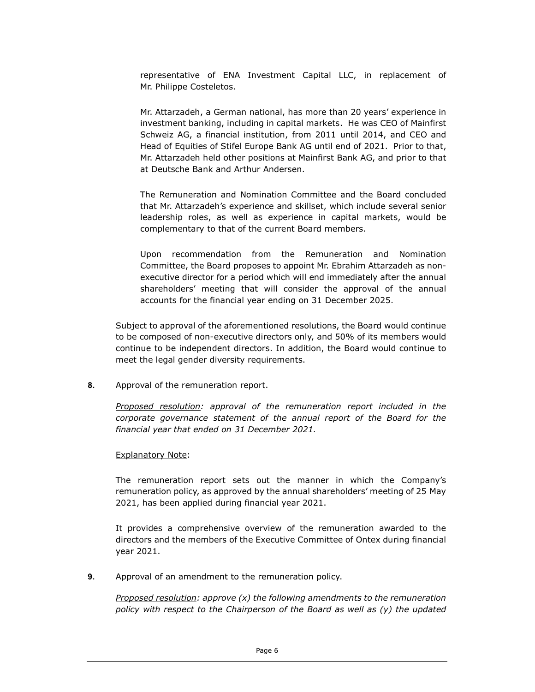representative of ENA Investment Capital LLC, in replacement of Mr. Philippe Costeletos.

Mr. Attarzadeh, a German national, has more than 20 years' experience in investment banking, including in capital markets. He was CEO of Mainfirst Schweiz AG, a financial institution, from 2011 until 2014, and CEO and Head of Equities of Stifel Europe Bank AG until end of 2021. Prior to that, Mr. Attarzadeh held other positions at Mainfirst Bank AG, and prior to that at Deutsche Bank and Arthur Andersen.

The Remuneration and Nomination Committee and the Board concluded that Mr. Attarzadeh's experience and skillset, which include several senior leadership roles, as well as experience in capital markets, would be complementary to that of the current Board members.

Upon recommendation from the Remuneration and Nomination Committee, the Board proposes to appoint Mr. Ebrahim Attarzadeh as nonexecutive director for a period which will end immediately after the annual shareholders' meeting that will consider the approval of the annual accounts for the financial year ending on 31 December 2025.

Subject to approval of the aforementioned resolutions, the Board would continue to be composed of non-executive directors only, and 50% of its members would continue to be independent directors. In addition, the Board would continue to meet the legal gender diversity requirements.

8. Approval of the remuneration report.

Proposed resolution: approval of the remuneration report included in the corporate governance statement of the annual report of the Board for the financial year that ended on 31 December 2021.

### Explanatory Note:

The remuneration report sets out the manner in which the Company's remuneration policy, as approved by the annual shareholders' meeting of 25 May 2021, has been applied during financial year 2021.

It provides a comprehensive overview of the remuneration awarded to the directors and the members of the Executive Committee of Ontex during financial year 2021.

9. Approval of an amendment to the remuneration policy.

Proposed resolution: approve  $(x)$  the following amendments to the remuneration policy with respect to the Chairperson of the Board as well as (y) the updated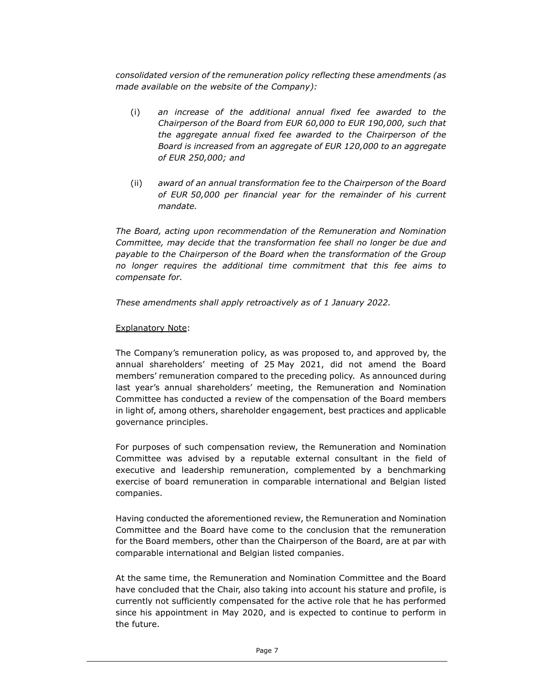consolidated version of the remuneration policy reflecting these amendments (as made available on the website of the Company):

- (i) an increase of the additional annual fixed fee awarded to the Chairperson of the Board from EUR 60,000 to EUR 190,000, such that the aggregate annual fixed fee awarded to the Chairperson of the Board is increased from an aggregate of EUR 120,000 to an aggregate of EUR 250,000; and
- (ii) award of an annual transformation fee to the Chairperson of the Board of EUR 50,000 per financial year for the remainder of his current mandate.

The Board, acting upon recommendation of the Remuneration and Nomination Committee, may decide that the transformation fee shall no longer be due and payable to the Chairperson of the Board when the transformation of the Group no longer requires the additional time commitment that this fee aims to compensate for.

These amendments shall apply retroactively as of 1 January 2022.

#### Explanatory Note:

The Company's remuneration policy, as was proposed to, and approved by, the annual shareholders' meeting of 25 May 2021, did not amend the Board members' remuneration compared to the preceding policy. As announced during last year's annual shareholders' meeting, the Remuneration and Nomination Committee has conducted a review of the compensation of the Board members in light of, among others, shareholder engagement, best practices and applicable governance principles.

For purposes of such compensation review, the Remuneration and Nomination Committee was advised by a reputable external consultant in the field of executive and leadership remuneration, complemented by a benchmarking exercise of board remuneration in comparable international and Belgian listed companies.

Having conducted the aforementioned review, the Remuneration and Nomination Committee and the Board have come to the conclusion that the remuneration for the Board members, other than the Chairperson of the Board, are at par with comparable international and Belgian listed companies.

At the same time, the Remuneration and Nomination Committee and the Board have concluded that the Chair, also taking into account his stature and profile, is currently not sufficiently compensated for the active role that he has performed since his appointment in May 2020, and is expected to continue to perform in the future.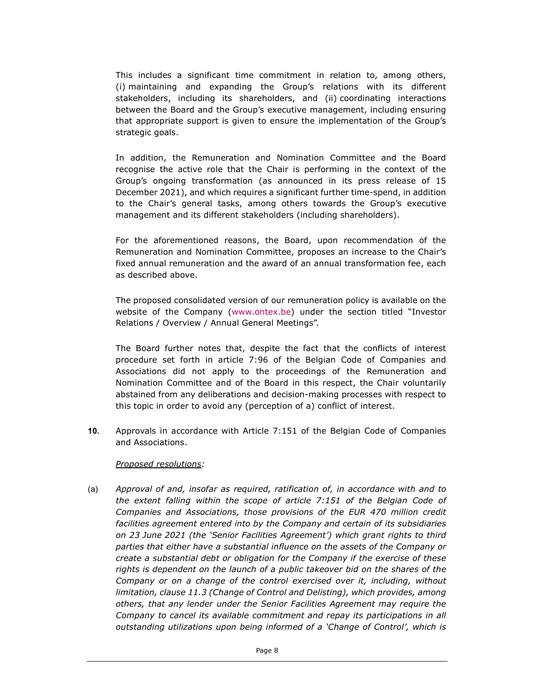This includes a significant time commitment in relation to, among others, (i) maintaining and expanding the Group's relations with its different stakeholders, including its shareholders, and (ii) coordinating interactions between the Board and the Group's executive management, including ensuring that appropriate support is given to ensure the implementation of the Group's strategic goals.

In addition, the Remuneration and Nomination Committee and the Board recognise the active role that the Chair is performing in the context of the Group's ongoing transformation (as announced in its press release of 15 December 2021), and which requires a significant further time-spend, in addition to the Chair's general tasks, among others towards the Group's executive management and its different stakeholders (including shareholders).

For the aforementioned reasons, the Board, upon recommendation of the Remuneration and Nomination Committee, proposes an increase to the Chair's fixed annual remuneration and the award of an annual transformation fee, each as described above.

The proposed consolidated version of our remuneration policy is available on the website of the Company (www.ontex.be) under the section titled "Investor Relations / Overview / Annual General Meetings".

The Board further notes that, despite the fact that the conflicts of interest procedure set forth in article 7:96 of the Belgian Code of Companies and Associations did not apply to the proceedings of the Remuneration and Nomination Committee and of the Board in this respect, the Chair voluntarily abstained from any deliberations and decision-making processes with respect to this topic in order to avoid any (perception of a) conflict of interest.

10. Approvals in accordance with Article 7:151 of the Belgian Code of Companies and Associations.

### Proposed resolutions:

(a) Approval of and, insofar as required, ratification of, in accordance with and to the extent falling within the scope of article 7:151 of the Belgian Code of Companies and Associations, those provisions of the EUR 470 million credit facilities agreement entered into by the Company and certain of its subsidiaries on 23 June 2021 (the 'Senior Facilities Agreement') which grant rights to third parties that either have a substantial influence on the assets of the Company or create a substantial debt or obligation for the Company if the exercise of these rights is dependent on the launch of a public takeover bid on the shares of the Company or on a change of the control exercised over it, including, without limitation, clause 11.3 (Change of Control and Delisting), which provides, among others, that any lender under the Senior Facilities Agreement may require the Company to cancel its available commitment and repay its participations in all outstanding utilizations upon being informed of a 'Change of Control', which is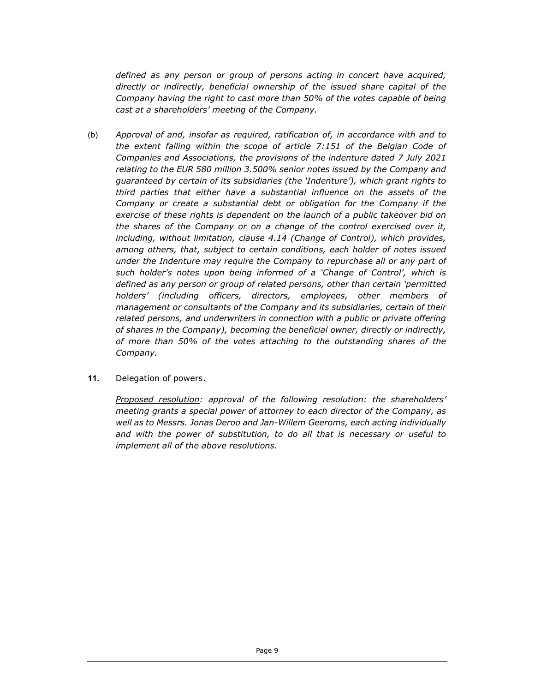defined as any person or group of persons acting in concert have acquired, directly or indirectly, beneficial ownership of the issued share capital of the Company having the right to cast more than 50% of the votes capable of being cast at a shareholders' meeting of the Company.

- (b) Approval of and, insofar as required, ratification of, in accordance with and to the extent falling within the scope of article 7:151 of the Belgian Code of Companies and Associations, the provisions of the indenture dated 7 July 2021 relating to the EUR 580 million 3.500% senior notes issued by the Company and guaranteed by certain of its subsidiaries (the 'Indenture'), which grant rights to third parties that either have a substantial influence on the assets of the Company or create a substantial debt or obligation for the Company if the exercise of these rights is dependent on the launch of a public takeover bid on the shares of the Company or on a change of the control exercised over it, including, without limitation, clause 4.14 (Change of Control), which provides, among others, that, subject to certain conditions, each holder of notes issued under the Indenture may require the Company to repurchase all or any part of such holder's notes upon being informed of a 'Change of Control', which is defined as any person or group of related persons, other than certain 'permitted holders' (including officers, directors, employees, other members of management or consultants of the Company and its subsidiaries, certain of their related persons, and underwriters in connection with a public or private offering of shares in the Company), becoming the beneficial owner, directly or indirectly, of more than 50% of the votes attaching to the outstanding shares of the Company.
- 11. Delegation of powers.

Proposed resolution: approval of the following resolution: the shareholders' meeting grants a special power of attorney to each director of the Company, as well as to Messrs. Jonas Deroo and Jan-Willem Geeroms, each acting individually and with the power of substitution, to do all that is necessary or useful to implement all of the above resolutions.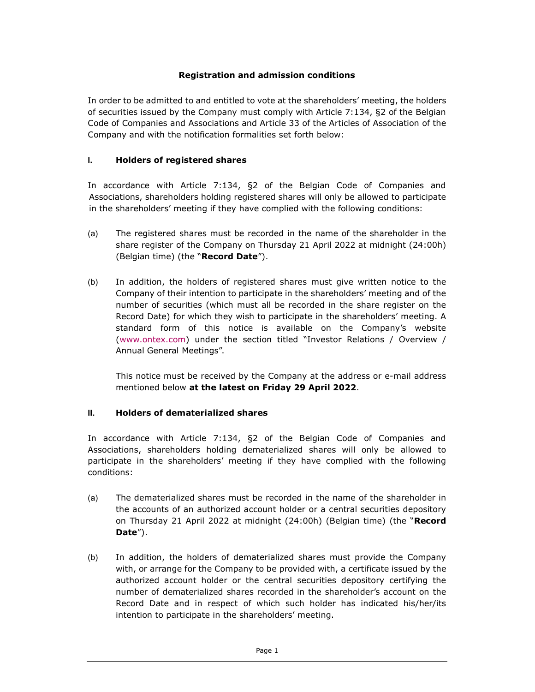# Registration and admission conditions

In order to be admitted to and entitled to vote at the shareholders' meeting, the holders of securities issued by the Company must comply with Article 7:134, §2 of the Belgian Code of Companies and Associations and Article 33 of the Articles of Association of the Company and with the notification formalities set forth below:

### I. Holders of registered shares

In accordance with Article 7:134, §2 of the Belgian Code of Companies and Associations, shareholders holding registered shares will only be allowed to participate in the shareholders' meeting if they have complied with the following conditions:

- (a) The registered shares must be recorded in the name of the shareholder in the share register of the Company on Thursday 21 April 2022 at midnight (24:00h) (Belgian time) (the "Record Date").
- (b) In addition, the holders of registered shares must give written notice to the Company of their intention to participate in the shareholders' meeting and of the number of securities (which must all be recorded in the share register on the Record Date) for which they wish to participate in the shareholders' meeting. A standard form of this notice is available on the Company's website (www.ontex.com) under the section titled "Investor Relations / Overview / Annual General Meetings".

This notice must be received by the Company at the address or e-mail address mentioned below at the latest on Friday 29 April 2022.

### II. Holders of dematerialized shares

In accordance with Article 7:134, §2 of the Belgian Code of Companies and Associations, shareholders holding dematerialized shares will only be allowed to participate in the shareholders' meeting if they have complied with the following conditions:

- (a) The dematerialized shares must be recorded in the name of the shareholder in the accounts of an authorized account holder or a central securities depository on Thursday 21 April 2022 at midnight (24:00h) (Belgian time) (the "Record Date").
- (b) In addition, the holders of dematerialized shares must provide the Company with, or arrange for the Company to be provided with, a certificate issued by the authorized account holder or the central securities depository certifying the number of dematerialized shares recorded in the shareholder's account on the Record Date and in respect of which such holder has indicated his/her/its intention to participate in the shareholders' meeting.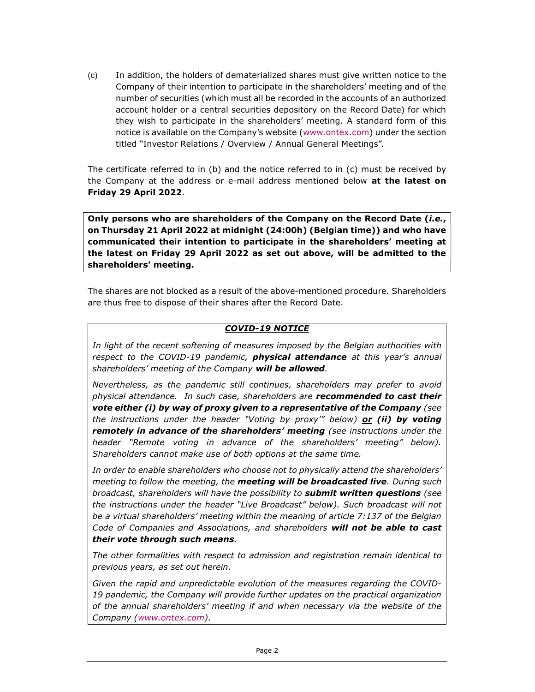(c) In addition, the holders of dematerialized shares must give written notice to the Company of their intention to participate in the shareholders' meeting and of the number of securities (which must all be recorded in the accounts of an authorized account holder or a central securities depository on the Record Date) for which they wish to participate in the shareholders' meeting. A standard form of this notice is available on the Company's website (www.ontex.com) under the section titled "Investor Relations / Overview / Annual General Meetings".

The certificate referred to in (b) and the notice referred to in (c) must be received by the Company at the address or e-mail address mentioned below at the latest on Friday 29 April 2022.

Only persons who are shareholders of the Company on the Record Date *(i.e.,* on Thursday 21 April 2022 at midnight (24:00h) (Belgian time)) and who have communicated their intention to participate in the shareholders' meeting at the latest on Friday 29 April 2022 as set out above, will be admitted to the shareholders' meeting.

The shares are not blocked as a result of the above-mentioned procedure. Shareholders are thus free to dispose of their shares after the Record Date.

### COVID-19 NOTICE

In light of the recent softening of measures imposed by the Belgian authorities with respect to the COVID-19 pandemic, **physical attendance** at this year's annual shareholders' meeting of the Company will be allowed.

Nevertheless, as the pandemic still continues, shareholders may prefer to avoid physical attendance. In such case, shareholders are **recommended to cast their** vote either (i) by way of proxy given to a representative of the Company (see the instructions under the header "Voting by proxy" below)  $or$  (ii) by voting remotely in advance of the shareholders' meeting (see instructions under the header "Remote voting in advance of the shareholders' meeting" below). Shareholders cannot make use of both options at the same time.

In order to enable shareholders who choose not to physically attend the shareholders' meeting to follow the meeting, the **meeting will be broadcasted live**. During such broadcast, shareholders will have the possibility to **submit written questions** (see the instructions under the header "Live Broadcast" below). Such broadcast will not be a virtual shareholders' meeting within the meaning of article 7:137 of the Belgian Code of Companies and Associations, and shareholders will not be able to cast their vote through such means.

The other formalities with respect to admission and registration remain identical to previous years, as set out herein.

Given the rapid and unpredictable evolution of the measures regarding the COVID-19 pandemic, the Company will provide further updates on the practical organization of the annual shareholders' meeting if and when necessary via the website of the Company (www.ontex.com).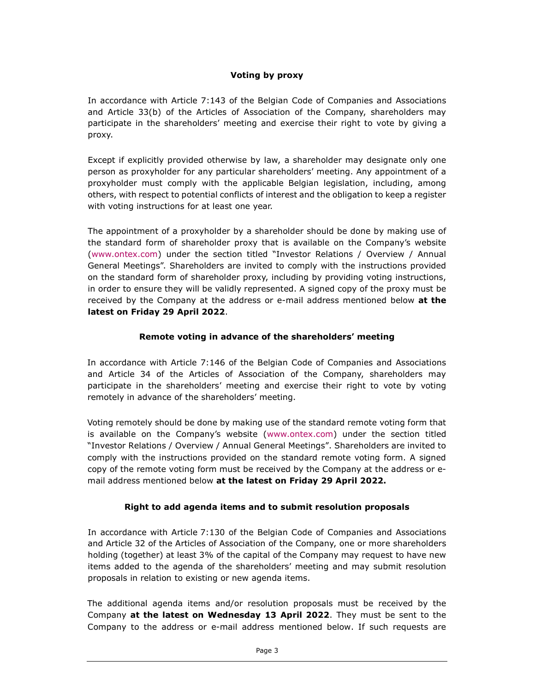# Voting by proxy

In accordance with Article 7:143 of the Belgian Code of Companies and Associations and Article 33(b) of the Articles of Association of the Company, shareholders may participate in the shareholders' meeting and exercise their right to vote by giving a proxy.

Except if explicitly provided otherwise by law, a shareholder may designate only one person as proxyholder for any particular shareholders' meeting. Any appointment of a proxyholder must comply with the applicable Belgian legislation, including, among others, with respect to potential conflicts of interest and the obligation to keep a register with voting instructions for at least one year.

The appointment of a proxyholder by a shareholder should be done by making use of the standard form of shareholder proxy that is available on the Company's website (www.ontex.com) under the section titled "Investor Relations / Overview / Annual General Meetings". Shareholders are invited to comply with the instructions provided on the standard form of shareholder proxy, including by providing voting instructions, in order to ensure they will be validly represented. A signed copy of the proxy must be received by the Company at the address or e-mail address mentioned below at the latest on Friday 29 April 2022.

# Remote voting in advance of the shareholders' meeting

In accordance with Article 7:146 of the Belgian Code of Companies and Associations and Article 34 of the Articles of Association of the Company, shareholders may participate in the shareholders' meeting and exercise their right to vote by voting remotely in advance of the shareholders' meeting.

Voting remotely should be done by making use of the standard remote voting form that is available on the Company's website (www.ontex.com) under the section titled "Investor Relations / Overview / Annual General Meetings". Shareholders are invited to comply with the instructions provided on the standard remote voting form. A signed copy of the remote voting form must be received by the Company at the address or email address mentioned below at the latest on Friday 29 April 2022.

# Right to add agenda items and to submit resolution proposals

In accordance with Article 7:130 of the Belgian Code of Companies and Associations and Article 32 of the Articles of Association of the Company, one or more shareholders holding (together) at least 3% of the capital of the Company may request to have new items added to the agenda of the shareholders' meeting and may submit resolution proposals in relation to existing or new agenda items.

The additional agenda items and/or resolution proposals must be received by the Company at the latest on Wednesday 13 April 2022. They must be sent to the Company to the address or e-mail address mentioned below. If such requests are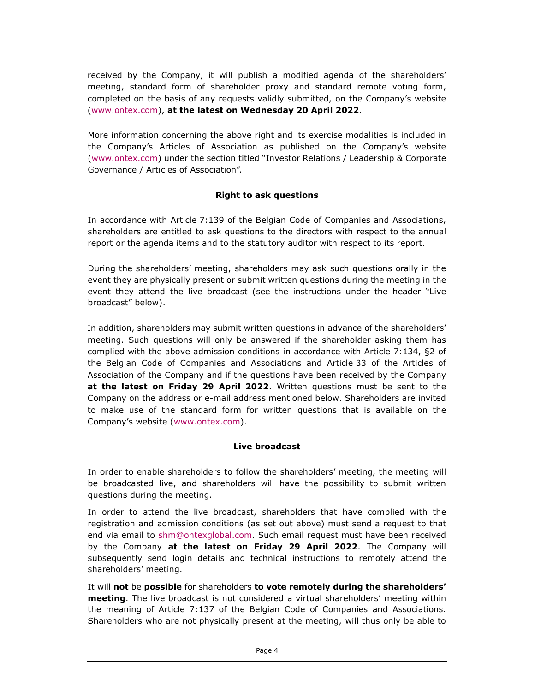received by the Company, it will publish a modified agenda of the shareholders' meeting, standard form of shareholder proxy and standard remote voting form, completed on the basis of any requests validly submitted, on the Company's website (www.ontex.com), at the latest on Wednesday 20 April 2022.

More information concerning the above right and its exercise modalities is included in the Company's Articles of Association as published on the Company's website (www.ontex.com) under the section titled "Investor Relations / Leadership & Corporate Governance / Articles of Association".

# Right to ask questions

In accordance with Article 7:139 of the Belgian Code of Companies and Associations, shareholders are entitled to ask questions to the directors with respect to the annual report or the agenda items and to the statutory auditor with respect to its report.

During the shareholders' meeting, shareholders may ask such questions orally in the event they are physically present or submit written questions during the meeting in the event they attend the live broadcast (see the instructions under the header "Live broadcast" below).

In addition, shareholders may submit written questions in advance of the shareholders' meeting. Such questions will only be answered if the shareholder asking them has complied with the above admission conditions in accordance with Article 7:134, §2 of the Belgian Code of Companies and Associations and Article 33 of the Articles of Association of the Company and if the questions have been received by the Company at the latest on Friday 29 April 2022. Written questions must be sent to the Company on the address or e-mail address mentioned below. Shareholders are invited to make use of the standard form for written questions that is available on the Company's website (www.ontex.com).

# Live broadcast

In order to enable shareholders to follow the shareholders' meeting, the meeting will be broadcasted live, and shareholders will have the possibility to submit written questions during the meeting.

In order to attend the live broadcast, shareholders that have complied with the registration and admission conditions (as set out above) must send a request to that end via email to shm@ontexglobal.com. Such email request must have been received by the Company at the latest on Friday 29 April 2022. The Company will subsequently send login details and technical instructions to remotely attend the shareholders' meeting.

It will not be possible for shareholders to vote remotely during the shareholders' **meeting**. The live broadcast is not considered a virtual shareholders' meeting within the meaning of Article 7:137 of the Belgian Code of Companies and Associations. Shareholders who are not physically present at the meeting, will thus only be able to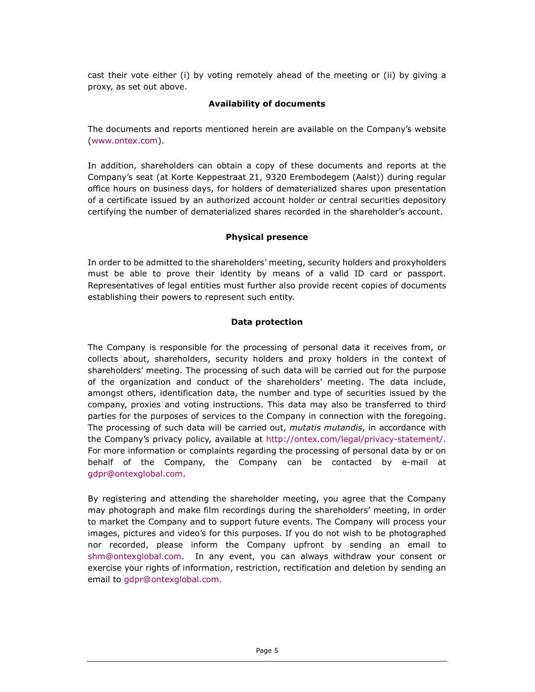cast their vote either (i) by voting remotely ahead of the meeting or (ii) by giving a proxy, as set out above.

# Availability of documents

The documents and reports mentioned herein are available on the Company's website (www.ontex.com).

In addition, shareholders can obtain a copy of these documents and reports at the Company's seat (at Korte Keppestraat 21, 9320 Erembodegem (Aalst)) during regular office hours on business days, for holders of dematerialized shares upon presentation of a certificate issued by an authorized account holder or central securities depository certifying the number of dematerialized shares recorded in the shareholder's account.

# Physical presence

In order to be admitted to the shareholders' meeting, security holders and proxyholders must be able to prove their identity by means of a valid ID card or passport. Representatives of legal entities must further also provide recent copies of documents establishing their powers to represent such entity.

# Data protection

The Company is responsible for the processing of personal data it receives from, or collects about, shareholders, security holders and proxy holders in the context of shareholders' meeting. The processing of such data will be carried out for the purpose of the organization and conduct of the shareholders' meeting. The data include, amongst others, identification data, the number and type of securities issued by the company, proxies and voting instructions. This data may also be transferred to third parties for the purposes of services to the Company in connection with the foregoing. The processing of such data will be carried out, mutatis mutandis, in accordance with the Company's privacy policy, available at http://ontex.com/legal/privacy-statement/. For more information or complaints regarding the processing of personal data by or on behalf of the Company, the Company can be contacted by e-mail at gdpr@ontexglobal.com.

By registering and attending the shareholder meeting, you agree that the Company may photograph and make film recordings during the shareholders' meeting, in order to market the Company and to support future events. The Company will process your images, pictures and video's for this purposes. If you do not wish to be photographed nor recorded, please inform the Company upfront by sending an email to shm@ontexglobal.com. In any event, you can always withdraw your consent or exercise your rights of information, restriction, rectification and deletion by sending an email to gdpr@ontexglobal.com.